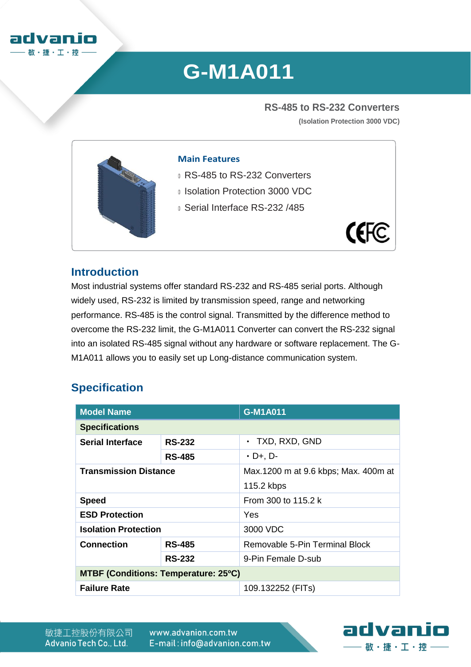

# **G-M1A011**

**RS-485 to RS-232 Converters (Isolation Protection 3000 VDC)**



#### **Main Features**

- **RS-485 to RS-232 Converters**
- **Isolation Protection 3000 VDC**
- **Serial Interface RS-232 /485**



#### **Introduction**

Most industrial systems offer standard RS-232 and RS-485 serial ports. Although widely used, RS-232 is limited by transmission speed, range and networking performance. RS-485 is the control signal. Transmitted by the difference method to overcome the RS-232 limit, the G-M1A011 Converter can convert the RS-232 signal into an isolated RS-485 signal without any hardware or software replacement. The G-M1A011 allows you to easily set up Long-distance communication system.

### **Specification**

| <b>Model Name</b>                           |               | G-M1A011                             |  |  |
|---------------------------------------------|---------------|--------------------------------------|--|--|
| <b>Specifications</b>                       |               |                                      |  |  |
| <b>Serial Interface</b>                     | <b>RS-232</b> | • TXD, RXD, GND                      |  |  |
|                                             | <b>RS-485</b> | $\cdot$ D+, D-                       |  |  |
| <b>Transmission Distance</b>                |               | Max.1200 m at 9.6 kbps; Max. 400m at |  |  |
|                                             |               | 115.2 kbps                           |  |  |
| <b>Speed</b>                                |               | From 300 to 115.2 k                  |  |  |
| <b>ESD Protection</b>                       |               | <b>Yes</b>                           |  |  |
| <b>Isolation Protection</b>                 |               | 3000 VDC                             |  |  |
| <b>Connection</b>                           | <b>RS-485</b> | Removable 5-Pin Terminal Block       |  |  |
|                                             | <b>RS-232</b> | 9-Pin Female D-sub                   |  |  |
| <b>MTBF (Conditions: Temperature: 25°C)</b> |               |                                      |  |  |
| <b>Failure Rate</b>                         |               | 109.132252 (FITs)                    |  |  |